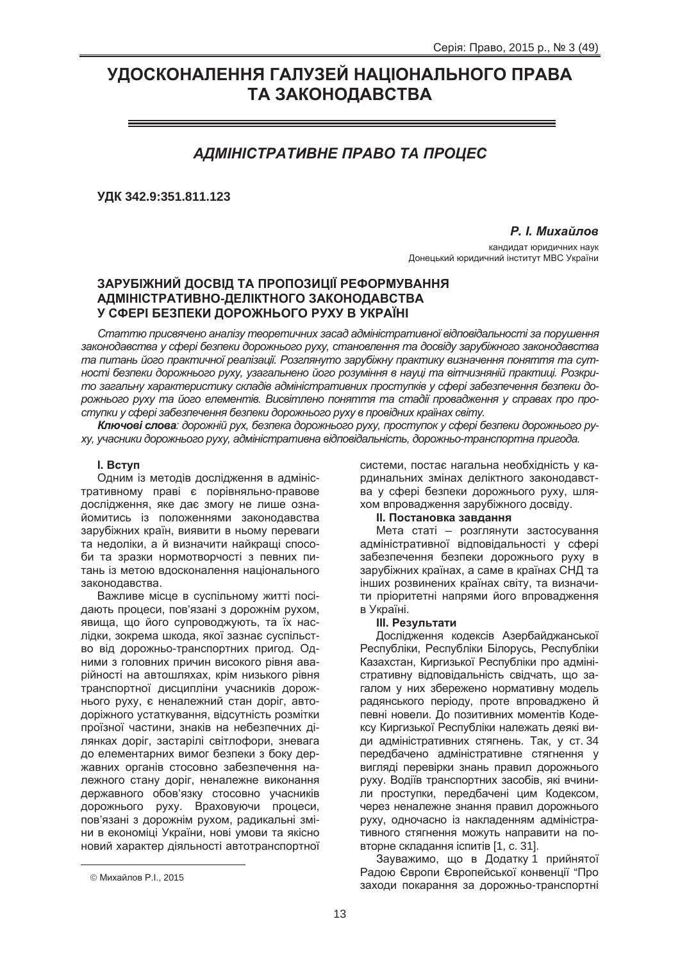# УДОСКОНАЛЕННЯ ГАЛУЗЕЙ НАЦІОНАЛЬНОГО ПРАВА **ТА ЗАКОНОДАВСТВА**

# *ȺȾɆȱɇȱɋɌɊȺɌɂȼɇȿ ɉɊȺȼɈ ɌȺ ɉɊɈɐȿɋ*

**ɍȾɄ 342.9:351.811.123**

**Р.** *I. Михайлов* 

кандидат юридичних наук Донецький юридичний інститут МВС України

## ЗАРУБІЖНИЙ ДОСВІД ТА ПРОПОЗИЦІЇ РЕФОРМУВАННЯ **ȺȾɆȱɇȱɋɌɊȺɌɂȼɇɈ-ȾȿɅȱɄɌɇɈȽɈ ɁȺɄɈɇɈȾȺȼɋɌȼȺ** У СФЕРІ БЕЗПЕКИ ДОРОЖНЬОГО РУХУ В УКРАЇНІ

Статтю присвячено аналізу теоретичних засад адміністративної відповідальності за порушення  $3a$ конодавства у сфері безпеки дорожнього руху, становлення та досвіду зарубіжного законодавства та питань його практичної реалізації. Розглянуто зарубіжну практику визначення поняття та сут*ності безпеки дорожнього руху, узагальнено його розуміння в науці та вітчизняній практиці. Розкрито загальну характеристику складів адміністративних проступків у сфері забезпечення безпеки до* $p$ <sup>*o<del>x</del>Hbozo pyxy ma його елементів. Висвітлено поняття та стадії провадження у справах про про-*</sup>  $em$ упки у сфері забезпечення безпеки дорожнього руху в провідних країнах світу.

**Ключові слова**: дорожній рух, безпека дорожнього руху, проступок у сфері безпеки дорожнього ру*ɯɭ, ɭɱɚɫɧɢɤɢ ɞɨɪɨɠɧɶɨɝɨ ɪɭɯɭ, ɚɞɦɿɧɿɫɬɪɚɬɢɜɧɚ ɜɿɞɩɨɜɿɞɚɥɶɧɿɫɬɶ, ɞɨɪɨɠɧɶɨ-ɬɪɚɧɫɩɨɪɬɧɚ ɩɪɢɝɨɞɚ.*

#### **l.** Вступ

Одним із методів дослідження в адміністративному праві є порівняльно-правове дослідження, яке дає змогу не лише ознайомитись із положеннями законодавства зарубіжних країн, виявити в ньому переваги та недоліки, а й визначити найкращі способи та зразки нормотворчості з певних питань із метою вдосконалення національного законодавства.

Важливе місце в суспільному житті посідають процеси. пов'язані з дорожнім рухом. явища, що його супроводжують, та їх наслідки, зокрема шкода, якої зазнає суспільство від дорожньо-транспортних пригод. Одними з головних причин високого рівня аварійності на автошляхах, крім низького рівня транспортної дисципліни учасників дорожнього руху, є неналежний стан доріг, автодоріжного устаткування, відсутність розмітки проїзної частини, знаків на небезпечних ділянках доріг, застарілі світлофори, зневага до елементарних вимог безпеки з боку державних органів стосовно забезпечення належного стану доріг, неналежне виконання державного обов'язку стосовно учасників дорожнього руху. Враховуючи процеси, пов'язані з дорожнім рухом, радикальні зміни в економіці України, нові умови та якісно новий характер діяльності автотранспортної

 $\overline{a}$ 

системи, постає нагальна необхідність у кардинальних змінах деліктного законодавства у сфері безпеки дорожнього руху, шляхом впровадження зарубіжного досвіду.

#### $II.$  Постановка завдання

Мета статі – розглянути застосування адміністративної відповідальності у сфері забезпечення безпеки дорожнього руху в зарубіжних країнах, а саме в країнах СНД та інших розвинених країнах світу, та визначити пріоритетні напрями його впровадження в Україні.

#### **III. Результати**

Дослідження кодексів Азербайджанської Республіки, Республіки Білорусь, Республіки Казахстан, Киргизької Республіки про адміністративну відповідальність свідчать, що загалом у них збережено нормативну модель радянського періоду, проте впроваджено й певні новели. До позитивних моментів Кодексу Киргизької Республіки належать деякі види адміністративних стягнень. Так, у ст. 34 передбачено адміністративне стягнення у вигляді перевірки знань правил дорожнього руху. Водіїв транспортних засобів, які вчинили проступки, передбачені цим Кодексом, через неналежне знання правил дорожнього руху, одночасно із накладенням адміністративного стягнення можуть направити на повторне складання іспитів [1, с. 31].

Зауважимо, що в Додатку 1 прийнятої Радою Європи Європейської конвенції "Про заходи покарання за дорожньо-транспортні

<sup>©</sup> Михайлов Р.I., 2015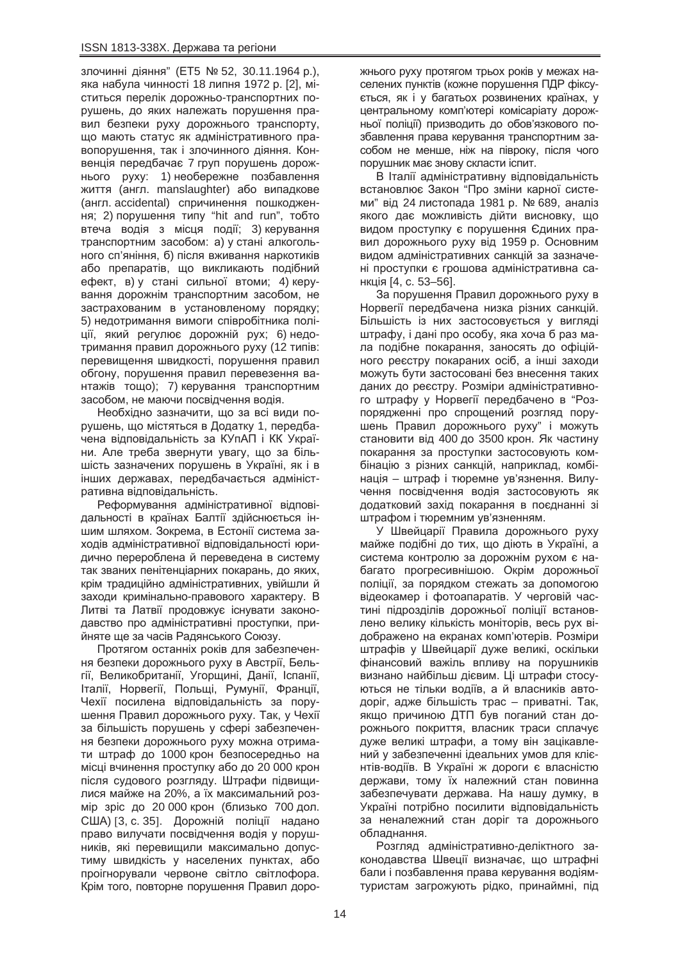злочинні діяння" (ET5 № 52, 30.11.1964 р.), яка набула чинності 18 липня 1972 р. [2], міститься перелік дорожньо-транспортних порушень, до яких належать порушення правил безпеки руху дорожнього транспорту, що мають статус як адміністративного правопорушення, так і злочинного діяння. Конвенція передбачає 7 груп порушень дорожнього руху: 1) необережне позбавлення життя (англ. manslaughter) або випадкове (англ. accidental) спричинення пошкодження; 2) порушення типу "hit and run", тобто втеча водія з місця події; 3) керування транспортним засобом: а) у стані алкогольного сп'яніння, б) після вживання наркотиків або препаратів, що викликають подібний ефект, в) у стані сильної втоми; 4) керування дорожнім транспортним засобом, не застрахованим в установленому порядку; 5) недотримання вимоги співробітника поліції, який регулює дорожній рух; 6) недотримання правил дорожнього руху (12 типів: перевишення швидкості, порушення правил обгону, порушення правил перевезення вантажів тощо); 7) керування транспортним засобом, не маючи посвідчення водія.

Необхідно зазначити, що за всі види порушень, що містяться в Додатку 1, передбачена відповідальність за КУпАП і КК України. Але треба звернути увагу, що за більшість зазначених порушень в Україні, як і в інших державах, передбачається адміністративна відповідальність.

Реформування адміністративної відповідальності в країнах Балтії здійснюється іншим шляхом. Зокрема, в Естонії система заходів адміністративної відповідальності юридично перероблена й переведена в систему так званих пенітенціарних покарань, до яких, крім традиційно адміністративних, увійшли й заходи кримінально-правового характеру. В Литві та Латвії продовжує існувати законодавство про адміністративні проступки, прийняте ше за часів Радянського Союзу.

Протягом останніх років для забезпечення безпеки дорожнього руху в Австрії, Бельгії, Великобританії, Угорщині, Данії, Іспанії, Італії, Норвегії, Польщі, Румунії, Франції, Чехії посилена відповідальність за порушення Правил дорожнього руху. Так, у Чехії за більшість порушень у сфері забезпечення безпеки дорожнього руху можна отримати штраф до 1000 крон безпосередньо на місці вчинення проступку або до 20 000 крон після судового розгляду. Штрафи підвищилися майже на 20%, а їх максимальний розмір зріс до 20 000 крон (близько 700 дол. США) [3, с. 35]. Дорожній поліції надано право вилучати посвідчення водія у порушників, які перевищили максимально допустиму швидкість у населених пунктах, або проігнорували червоне світло світлофора. Крім того, повторне порушення Правил дорожнього руху протягом трьох років у межах населених пунктів (кожне порушення ПДР фіксується, як і у багатьох розвинених країнах, у центральному комп'ютері комісаріату дорож-НЬОЇ ПОЛІЦІЇ) ПРИЗВОДИТЬ ДО ОбОВ'ЯЗКОВОГО ПОзбавлення права керування транспортним засобом не менше, ніж на півроку, після чого порушник має знову скласти іспит.

В Італії адміністративну відповідальність встановлює Закон "Про зміни карної системи" від 24 листопада 1981 р. № 689, аналіз якого дає можливість дійти висновку, що видом проступку є порушення Єдиних правил дорожнього руху від 1959 р. Основним видом адміністративних санкцій за зазначені проступки є грошова адміністративна санкція [4, с. 53-56].

За порушення Правил дорожнього руху в Норвегії передбачена низка різних санкцій. Більшість із них застосовується у вигляді штрафу, і дані про особу, яка хоча б раз мала подібне покарання, заносять до офіційного реєстру покараних осіб, а інші заходи можуть бути застосовані без внесення таких даних до реєстру. Розміри адміністративного штрафу у Норвегії передбачено в "Розпорядженні про спрощений розгляд порушень Правил дорожнього руху" і можуть становити від 400 до 3500 крон. Як частину покарання за проступки застосовують комбінацію з різних санкцій, наприклад, комбінація – штраф і тюремне ув'язнення. Вилучення посвідчення водія застосовують як додатковий захід покарання в поєднанні зі штрафом і тюремним ув'язненням.

У Швейцарії Правила дорожнього руху майже подібні до тих, що діють в Україні, а система контролю за дорожнім рухом є набагато прогресивнішою. Окрім дорожньої поліції, за порядком стежать за допомогою відеокамер і фотоапаратів. У черговій частині підрозділів дорожньої поліції встановлено велику кількість моніторів, весь рух відображено на екранах комп'ютерів. Розміри штрафів у Швейцарії дуже великі, оскільки фінансовий важіль впливу на порушників визнано найбільш дієвим. Ці штрафи стосуються не тільки водіїв, а й власників автодоріг, адже більшість трас – приватні. Так, ЯКШО ПРИЧИНОЮ ДТП був поганий стан дорожнього покриття, власник траси сплачує дуже великі штрафи, а тому він зацікавлений у забезпеченні ідеальних умов для клієнтів-водіїв. В Україні ж дороги є власністю держави, тому їх належний стан повинна забезпечувати держава. На нашу думку, в Україні потрібно посилити відповідальність за неналежний стан доріг та дорожнього обладнання.

Розгляд адміністративно-деліктного законодавства Швеції визначає, що штрафні бали і позбавлення права керування водіямтуристам загрожують рідко, принаймні, під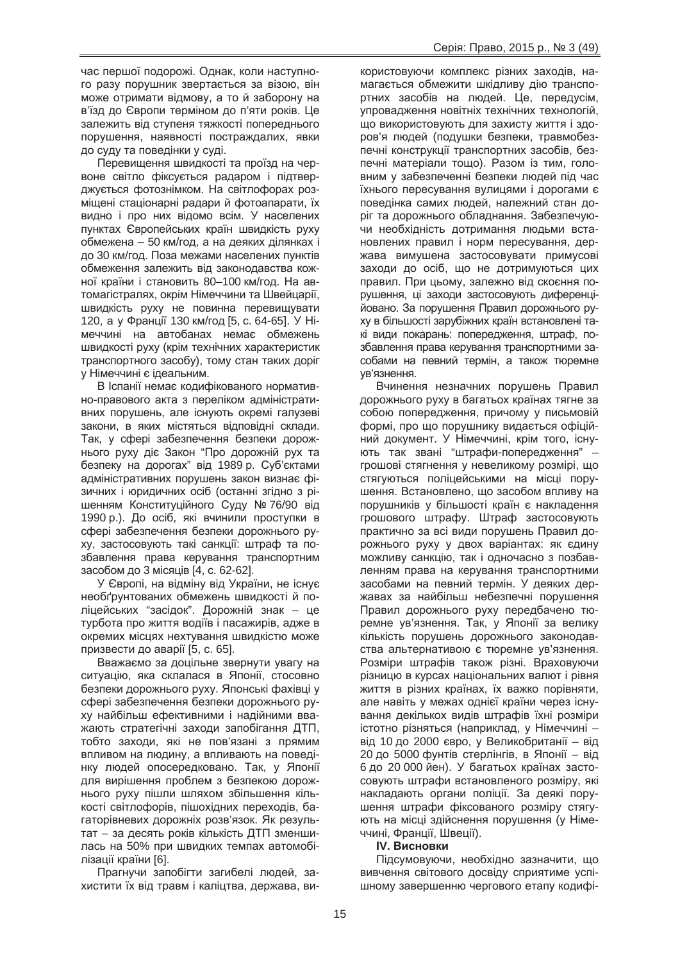час першої подорожі. Однак, коли наступного разу порушник звертається за візою, він може отримати відмову, а то й заборону на в'їзд до Європи терміном до п'яти років. Це залежить від ступеня тяжкості попереднього порушення, наявності постраждалих, явки до суду та поведінки у суді.

Перевищення швидкості та проїзд на червоне світло фіксується радаром і підтверджується фотознімком. На світлофорах розміщені стаціонарні радари й фотоапарати, їх видно і про них відомо всім. У населених пунктах Європейських країн швидкість руху обмежена – 50 км/год, а на деяких ділянках і до 30 км/год. Поза межами населених пунктів обмеження залежить від законодавства кожної країни і становить 80–100 км/год. На автомагістралях, окрім Німеччини та Швейцарії, швидкість руху не повинна перевищувати 120, а у Франції 130 км/год [5, с. 64-65]. У Німеччині на автобанах немає обмежень швидкості руху (крім технічних характеристик транспортного засобу), тому стан таких доріг у Німеччині є ідеальним.

В Іспанії немає кодифікованого нормативно-правового акта з переліком адміністративних порушень, але існують окремі галузеві закони, в яких містяться відповідні склади. Так, у сфері забезпечення безпеки дорожнього руху діє Закон "Про дорожній рух та безпеку на дорогах" від 1989 р. Суб'єктами адміністративних порушень закон визнає фізичних і юридичних осіб (останні згідно з рішенням Конституційного Суду № 76/90 від 1990 p.). До осіб, які вчинили проступки в сфері забезпечення безпеки дорожнього руху, застосовують такі санкції: штраф та позбавлення права керування транспортним засобом до 3 місяців [4, с, 62-62].

У Європі, на відміну від України, не існує необґрунтованих обмежень швидкості й поліцейських "засідок". Дорожній знак - це турбота про життя водіїв і пасажирів, адже в окремих місцях нехтування швидкістю може призвести до аварії [5, с. 65].

Вважаємо за доцільне звернути увагу на ситуацію, яка склалася в Японії, стосовно безпеки дорожнього руху. Японські фахівці у сфері забезпечення безпеки дорожнього руху найбільш ефективними і надійними вважають стратегічні заходи запобігання ДТП, тобто заходи, які не пов'язані з прямим впливом на людину, а впливають на поведінку людей опосередковано. Так, у Японії для вирішення проблем з безпекою дорожнього руху пішли шляхом збільшення кількості світлофорів, пішохідних переходів, багаторівневих дорожніх розв'язок. Як результат – за десять років кількість ДТП зменшилась на 50% при швидких темпах автомобілізації країни [6].

Прагнучи запобігти загибелі людей, захистити їх від травм і каліцтва, держава, ви-

користовуючи комплекс різних заходів, намагається обмежити шкідливу дію транспортних засобів на людей. Це, передусім, упровадження новітніх технічних технологій, що використовують для захисту життя і здоров'я людей (подушки безпеки, травмобезпечні конструкції транспортних засобів, безпечні матеріали тощо). Разом із тим, головним у забезпеченні безпеки людей під час їхнього пересування вулицями і дорогами є поведінка самих людей, належний стан доріг та дорожнього обладнання. Забезпечуючи необхідність дотримання людьми встановлених правил і норм пересування, держава вимушена застосовувати примусові заходи до осіб, що не дотримуються цих правил. При цьому, залежно від скоєння порушення, ці заходи застосовують диференційовано. За порушення Правил дорожнього руху в більшості зарубіжних країн встановлені такі види покарань: попередження, штраф, позбавлення права керування транспортними засобами на певний термін, а також тюремне ув'язнення.

Вчинення незначних порушень Правил дорожнього руху в багатьох країнах тягне за собою попередження, причому у письмовій формі, про що порушнику видається офіційний документ. У Німеччині, крім того, існують так звані "штрафи-попередження" грошові стягнення у невеликому розмірі, що стягуються поліцейськими на місці порушення. Встановлено, що засобом впливу на порушників у більшості країн є накладення грошового штрафу. Штраф застосовують практично за всі види порушень Правил дорожнього руху у двох варіантах: як єдину можливу санкцію, так і одночасно з позбавленням права на керування транспортними засобами на певний термін. У деяких державах за найбільш небезпечні порушення Правил дорожнього руху передбачено тюремне ув'язнення. Так, у Японії за велику кількість порушень дорожнього законодавства альтернативою є тюремне ув'язнення. Розміри штрафів також різні. Враховуючи різницю в курсах національних валют і рівня життя в різних країнах, їх важко порівняти, але навіть у межах однієї країни через існування декількох видів штрафів їхні розміри істотно різняться (наприклад, у Німеччині – від 10 до 2000 євро, у Великобританії – від 20 до 5000 фунтів стерлінгів, в Японії - від 6 до 20 000 йен). У багатьох країнах застосовують штрафи встановленого розміру, які накладають органи поліції. За деякі порушення штрафи фіксованого розміру стягують на місці здійснення порушення (у Німеччині, Франції, Швеції).

#### **IV. Висновки**

Підсумовуючи, необхідно зазначити, що вивчення світового досвіду сприятиме успішному завершенню чергового етапу кодифі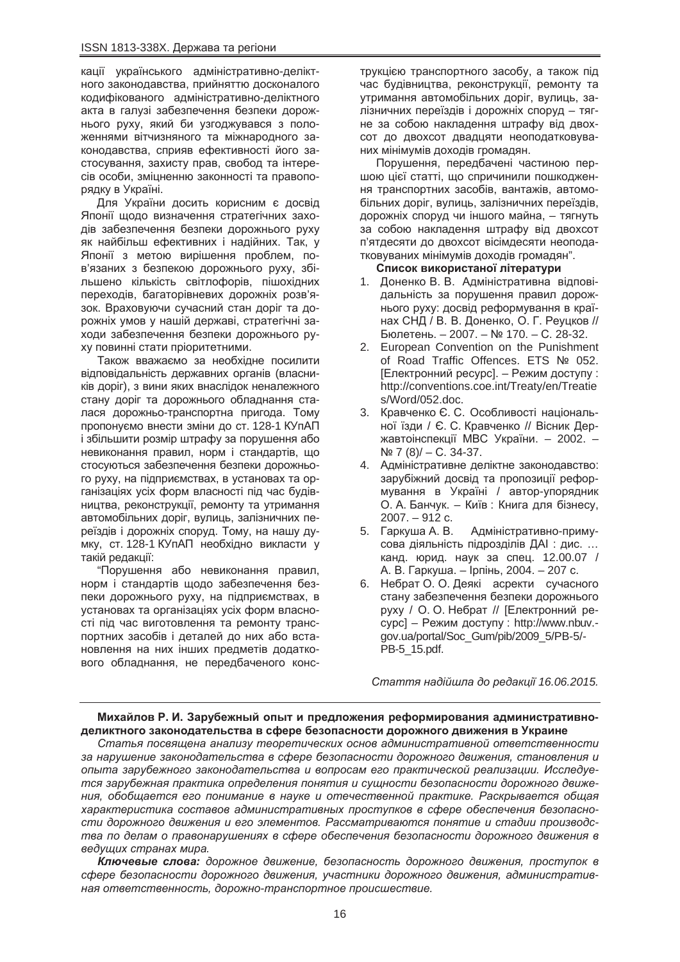кації українського адміністративно-деліктного законодавства, прийняттю досконалого кодифікованого адміністративно-деліктного акта в галузі забезпечення безпеки дорожнього руху, який би узгоджувався з положеннями вітчизняного та міжнародного законодавства, сприяв ефективності його застосування, захисту прав, свобод та інтересів особи, зміцненню законності та правопорядку в Україні.

Для України досить корисним є досвід Японії щодо визначення стратегічних заходів забезпечення безпеки дорожнього руху як найбільш ефективних і надійних. Так, у Японії з метою вирішення проблем, пов'язаних з безпекою дорожнього руху, збільшено кількість світлофорів, пішохідних переходів, багаторівневих дорожніх розв'язок. Враховуючи сучасний стан доріг та дорожніх умов у нашій державі, стратегічні заходи забезпечення безпеки дорожнього руху повинні стати пріоритетними.

Також вважаємо за необхідне посилити відповідальність державних органів (власників доріг), з вини яких внаслідок неналежного стану доріг та дорожнього обладнання сталася дорожньо-транспортна пригода. Тому пропонуємо внести зміни до ст. 128-1 КУпАП і збільшити розмір штрафу за порушення або невиконання правил, норм і стандартів, що стосуються забезпечення безпеки дорожнього руху, на підприємствах, в установах та організаціях усіх форм власності під час будівництва, реконструкції, ремонту та утримання автомобільних доріг, вулиць, залізничних переїздів і дорожніх споруд. Тому, на нашу думку, ст. 128-1 КУпАП необхідно викласти у такій редакції:

"Порушення або невиконання правил. норм і стандартів шодо забезпечення безпеки дорожнього руху, на підприємствах, в установах та організаціях усіх форм власності під час виготовлення та ремонту транспортних засобів і деталей до них або встановлення на них інших предметів додаткового обладнання, не передбаченого конструкцією транспортного засобу, а також під час будівництва, реконструкції, ремонту та утримання автомобільних доріг, вулиць, залізничних переїздів і дорожніх споруд – тягне за собою накладення штрафу від двохсот до двохсот двадцяти неоподатковуваних мінімумів доходів громадян.

Порушення, передбачені частиною першою цієї статті, що спричинили пошкодження транспортних засобів, вантажів, автомобільних доріг, вулиць, залізничних переїздів, дорожніх споруд чи іншого майна, – тягнуть за собою накладення штрафу від двохсот п'ятдесяти до двохсот вісімдесяти неоподатковуваних мінімумів доходів громадян".

#### Список використаної літератури

- 1. Доненко В. В. Адміністративна відповідальність за порушення правил дорожнього руху: досвід реформування в країнах СНД / В. В. Доненко, О. Г. Реуцков // Бюлетень. – 2007. – № 170. – С. 28-32.
- 2. European Convention on the Punishment of Road Traffic Offences. ETS Nº 052. [Електронний ресурс]. – Режим доступу : http://conventions.coe.int/Treaty/en/Treatie s/Word/052.doc.
- 3. Кравченко Є. С. Особливості національної їзди / Є. С. Кравченко // Вісник Державтоінспекції МВС України. – 2002. –  $N<sup>2</sup>$  7 (8)/ – C. 34-37.
- 4. Адміністративне деліктне законодавство: зарубіжний досвід та пропозиції реформування в Україні / автор-упорядник О. А. Банчук. – Київ: Книга для бізнесу, 2007. – 912 c.
- 5. Гаркуша А. В. Адміністративно-примусова діяльність підрозділів ДАІ: дис. ... канд. юрид. наук за спец. 12.00.07 / А. В. Гаркуша. – Ірпінь, 2004. – 207 с.
- 6. Небрат О. О. Деякі асректи сучасного стану забезпечення безпеки дорожнього руху / О. О. Небрат // [Електронний ресурс] – Режим доступу : http://www.nbuv.gov.ua/portal/Soc\_Gum/pib/2009\_5/PB-5/- PB-5\_15.pdf.

*ɋɬɚɬɬɹ ɧɚɞɿɣɲɥɚ ɞɨ ɪɟɞɚɤɰɿʀ 16.06.2015.*

### Михайлов Р. И. Зарубежный опыт и предложения реформирования административноделиктного законодательства в сфере безопасности дорожного движения в Украине

Статья посвящена анализу теоретических основ административной ответственности за нарушение законодательства в сфере безопасности дорожного движения, становления и  $\alpha$ пыта зарубежного законодательства и вопросам его практической реализации. Исследуется зарубежная практика определения понятия и сущности безопасности дорожного движе- $H$  $H$ ия, обобщается его понимание в науке и отечественной практике. Раскрывается общая *характеристика составов административных проступков в сфере обеспечения безопасно* $c$ ти дорожного движения и его элементов. Рассматриваются понятие и стадии производства по делам о правонарушениях в сфере обеспечения безопасности дорожного движения в  $e$ *eдуших странах мира.* 

**Ключевые слова**: дорожное движение, безопасность дорожного движения, проступок в  $c$ фере безопасности дорожного движения, участники дорожного движения, административ- $H$ ая ответственность, дорожно-транспортное происшествие.